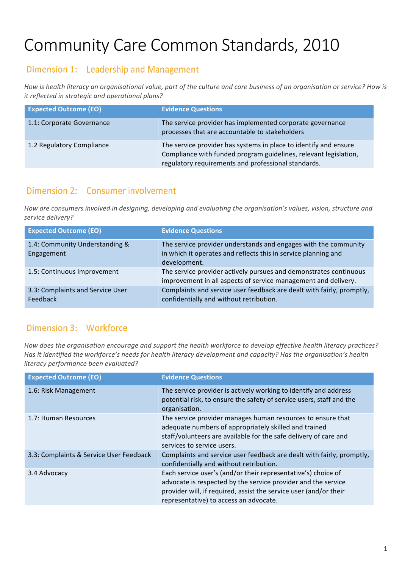# Community Care Common Standards, 2010

### Dimension 1: Leadership and Management

How is health literacy an organisational value, part of the culture and core business of an organisation or service? How is *it reflected in strategic and operational plans?* 

| <b>Expected Outcome (EO)</b> | <b>Evidence Questions</b>                                                                                                                                                                   |
|------------------------------|---------------------------------------------------------------------------------------------------------------------------------------------------------------------------------------------|
| 1.1: Corporate Governance    | The service provider has implemented corporate governance<br>processes that are accountable to stakeholders                                                                                 |
| 1.2 Regulatory Compliance    | The service provider has systems in place to identify and ensure<br>Compliance with funded program guidelines, relevant legislation,<br>regulatory requirements and professional standards. |

## Dimension 2: Consumer involvement

How are consumers involved in designing, developing and evaluating the organisation's values, vision, structure and *service delivery?*

| <b>Expected Outcome (EO)</b>                 | <b>Evidence Questions</b>                                                                                                                         |
|----------------------------------------------|---------------------------------------------------------------------------------------------------------------------------------------------------|
| 1.4: Community Understanding &<br>Engagement | The service provider understands and engages with the community<br>in which it operates and reflects this in service planning and<br>development. |
| 1.5: Continuous Improvement                  | The service provider actively pursues and demonstrates continuous<br>improvement in all aspects of service management and delivery.               |
| 3.3: Complaints and Service User<br>Feedback | Complaints and service user feedback are dealt with fairly, promptly,<br>confidentially and without retribution.                                  |

### Dimension 3: Workforce

How does the organisation encourage and support the health workforce to develop effective health literacy practices? Has it identified the workforce's needs for health literacy development and capacity? Has the organisation's health *literacy performance been evaluated?*

| <b>Expected Outcome (EO)</b>            | <b>Evidence Questions</b>                                                                                                                                                                                                                     |
|-----------------------------------------|-----------------------------------------------------------------------------------------------------------------------------------------------------------------------------------------------------------------------------------------------|
| 1.6: Risk Management                    | The service provider is actively working to identify and address<br>potential risk, to ensure the safety of service users, staff and the<br>organisation.                                                                                     |
| 1.7: Human Resources                    | The service provider manages human resources to ensure that<br>adequate numbers of appropriately skilled and trained<br>staff/volunteers are available for the safe delivery of care and<br>services to service users.                        |
| 3.3: Complaints & Service User Feedback | Complaints and service user feedback are dealt with fairly, promptly,<br>confidentially and without retribution.                                                                                                                              |
| 3.4 Advocacy                            | Each service user's (and/or their representative's) choice of<br>advocate is respected by the service provider and the service<br>provider will, if required, assist the service user (and/or their<br>representative) to access an advocate. |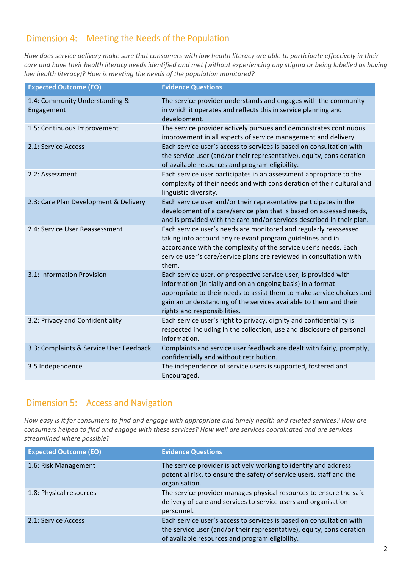### Dimension 4: Meeting the Needs of the Population

How does service delivery make sure that consumers with low health literacy are able to participate effectively in their care and have their health literacy needs identified and met (without experiencing any stigma or being labelled as having *low health literacy)?* How is meeting the needs of the population monitored?

| <b>Expected Outcome (EO)</b>                 | <b>Evidence Questions</b>                                                                                                                                                                                                                                                                                     |
|----------------------------------------------|---------------------------------------------------------------------------------------------------------------------------------------------------------------------------------------------------------------------------------------------------------------------------------------------------------------|
| 1.4: Community Understanding &<br>Engagement | The service provider understands and engages with the community<br>in which it operates and reflects this in service planning and<br>development.                                                                                                                                                             |
| 1.5: Continuous Improvement                  | The service provider actively pursues and demonstrates continuous<br>improvement in all aspects of service management and delivery.                                                                                                                                                                           |
| 2.1: Service Access                          | Each service user's access to services is based on consultation with<br>the service user (and/or their representative), equity, consideration<br>of available resources and program eligibility.                                                                                                              |
| 2.2: Assessment                              | Each service user participates in an assessment appropriate to the<br>complexity of their needs and with consideration of their cultural and<br>linguistic diversity.                                                                                                                                         |
| 2.3: Care Plan Development & Delivery        | Each service user and/or their representative participates in the<br>development of a care/service plan that is based on assessed needs,<br>and is provided with the care and/or services described in their plan.                                                                                            |
| 2.4: Service User Reassessment               | Each service user's needs are monitored and regularly reassessed<br>taking into account any relevant program guidelines and in<br>accordance with the complexity of the service user's needs. Each<br>service user's care/service plans are reviewed in consultation with<br>them.                            |
| 3.1: Information Provision                   | Each service user, or prospective service user, is provided with<br>information (initially and on an ongoing basis) in a format<br>appropriate to their needs to assist them to make service choices and<br>gain an understanding of the services available to them and their<br>rights and responsibilities. |
| 3.2: Privacy and Confidentiality             | Each service user's right to privacy, dignity and confidentiality is<br>respected including in the collection, use and disclosure of personal<br>information.                                                                                                                                                 |
| 3.3: Complaints & Service User Feedback      | Complaints and service user feedback are dealt with fairly, promptly,<br>confidentially and without retribution.                                                                                                                                                                                              |
| 3.5 Independence                             | The independence of service users is supported, fostered and<br>Encouraged.                                                                                                                                                                                                                                   |

#### Dimension 5: Access and Navigation

How easy is it for consumers to find and engage with appropriate and timely health and related services? How are *consumers helped to find and engage with these services? How well are services coordinated and are services streamlined where possible?*

| <b>Expected Outcome (EO)</b> | <b>Evidence Questions</b>                                                                                                                                                                        |
|------------------------------|--------------------------------------------------------------------------------------------------------------------------------------------------------------------------------------------------|
| 1.6: Risk Management         | The service provider is actively working to identify and address<br>potential risk, to ensure the safety of service users, staff and the<br>organisation.                                        |
| 1.8: Physical resources      | The service provider manages physical resources to ensure the safe<br>delivery of care and services to service users and organisation<br>personnel.                                              |
| 2.1: Service Access          | Each service user's access to services is based on consultation with<br>the service user (and/or their representative), equity, consideration<br>of available resources and program eligibility. |